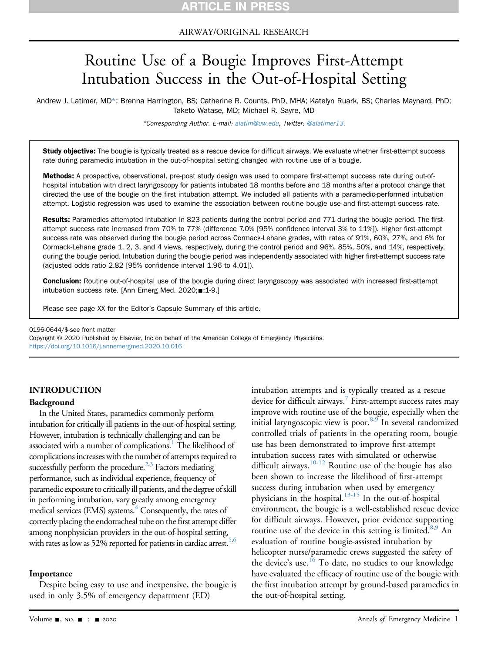AIRWAY/ORIGINAL RESEARCH

# Routine Use of a Bougie Improves First-Attempt Intubation Success in the Out-of-Hospital Setting

Andrew J. Latimer, MD\*; Brenna Harrington, BS; Catherine R. Counts, PhD, MHA; Katelyn Ruark, BS; Charles Maynard, PhD; Taketo Watase, MD; Michael R. Sayre, MD

\*Corresponding Author. E-mail: [alatim@uw.edu](mailto:alatim@uw.edu), Twitter: [@alatimer13](https://twitter.com/alatimer13).

Study objective: The bougie is typically treated as a rescue device for difficult airways. We evaluate whether first-attempt success rate during paramedic intubation in the out-of-hospital setting changed with routine use of a bougie.

Methods: A prospective, observational, pre-post study design was used to compare first-attempt success rate during out-ofhospital intubation with direct laryngoscopy for patients intubated 18 months before and 18 months after a protocol change that directed the use of the bougie on the first intubation attempt. We included all patients with a paramedic-performed intubation attempt. Logistic regression was used to examine the association between routine bougie use and first-attempt success rate.

Results: Paramedics attempted intubation in 823 patients during the control period and 771 during the bougie period. The firstattempt success rate increased from 70% to 77% (difference 7.0% [95% confidence interval 3% to 11%]). Higher first-attempt success rate was observed during the bougie period across Cormack-Lehane grades, with rates of 91%, 60%, 27%, and 6% for Cormack-Lehane grade 1, 2, 3, and 4 views, respectively, during the control period and 96%, 85%, 50%, and 14%, respectively, during the bougie period. Intubation during the bougie period was independently associated with higher first-attempt success rate (adjusted odds ratio 2.82 [95% confidence interval 1.96 to 4.01]).

Conclusion: Routine out-of-hospital use of the bougie during direct laryngoscopy was associated with increased first-attempt intubation success rate. [Ann Emerg Med. 2020; 1-9.]

Please see page XX for the Editor's Capsule Summary of this article.

0196-0644/\$-see front matter

Copyright © 2020 Published by Elsevier, Inc on behalf of the American College of Emergency Physicians. <https://doi.org/10.1016/j.annemergmed.2020.10.016>

#### INTRODUCTION

#### Background

In the United States, paramedics commonly perform intubation for critically ill patients in the out-of-hospital setting. However, intubation is technically challenging and can be associated with a number of complications.<sup>1</sup> The likelihood of complications increases with the number of attempts required to successfully perform the procedure.<sup>2[,3](#page-7-2)</sup> Factors mediating performance, such as individual experience, frequency of paramedic exposure to critically ill patients, and the degree of skill in performing intubation, vary greatly among emergency medical services (EMS) systems.<sup>[4](#page-7-3)</sup> Consequently, the rates of correctly placing the endotracheal tube on the first attempt differ among nonphysician providers in the out-of-hospital setting, with rates as low as 52% reported for patients in cardiac arrest.<sup>5[,6](#page-7-5)</sup>

#### Importance

Despite being easy to use and inexpensive, the bougie is used in only 3.5% of emergency department (ED)

intubation attempts and is typically treated as a rescue device for difficult airways.<sup>[7](#page-7-6)</sup> First-attempt success rates may improve with routine use of the bougie, especially when the initial laryngoscopic view is poor.<sup>8,[9](#page-7-8)</sup> In several randomized controlled trials of patients in the operating room, bougie use has been demonstrated to improve first-attempt intubation success rates with simulated or otherwise difficult airways.<sup>10-12</sup> Routine use of the bougie has also been shown to increase the likelihood of first-attempt success during intubation when used by emergency physicians in the hospital. $13-15$  In the out-of-hospital environment, the bougie is a well-established rescue device for difficult airways. However, prior evidence supporting routine use of the device in this setting is limited.<sup>8,[9](#page-7-8)</sup> An evaluation of routine bougie-assisted intubation by helicopter nurse/paramedic crews suggested the safety of the device's use.<sup>[16](#page-8-2)</sup> To date, no studies to our knowledge have evaluated the efficacy of routine use of the bougie with the first intubation attempt by ground-based paramedics in the out-of-hospital setting.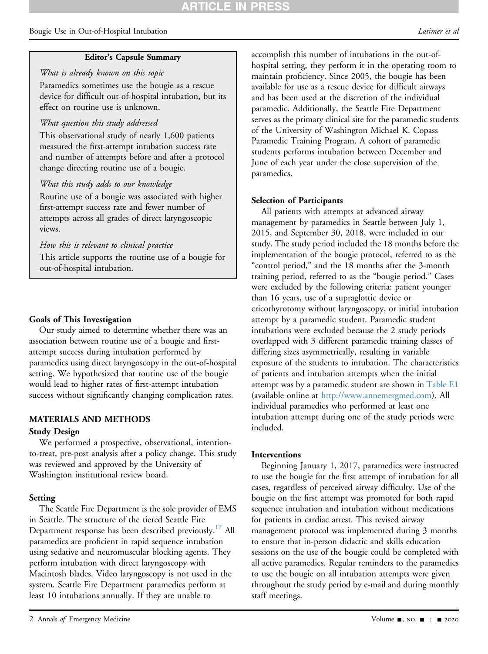# **ARTICLE IN PRES**

#### Bougie Use in Out-of-Hospital Intubation and the set of the set of the set of the latimer et all the set of the set of the set of the set of the set of the set of the set of the set of the set of the set of the set of the

#### Editor's Capsule Summary

What is already known on this topic Paramedics sometimes use the bougie as a rescue device for difficult out-of-hospital intubation, but its effect on routine use is unknown.

#### What question this study addressed

This observational study of nearly 1,600 patients measured the first-attempt intubation success rate and number of attempts before and after a protocol change directing routine use of a bougie.

#### What this study adds to our knowledge

Routine use of a bougie was associated with higher first-attempt success rate and fewer number of attempts across all grades of direct laryngoscopic views.

#### How this is relevant to clinical practice

This article supports the routine use of a bougie for out-of-hospital intubation.

#### Goals of This Investigation

Our study aimed to determine whether there was an association between routine use of a bougie and firstattempt success during intubation performed by paramedics using direct laryngoscopy in the out-of-hospital setting. We hypothesized that routine use of the bougie would lead to higher rates of first-attempt intubation success without significantly changing complication rates.

### MATERIALS AND METHODS

#### Study Design

We performed a prospective, observational, intentionto-treat, pre-post analysis after a policy change. This study was reviewed and approved by the University of Washington institutional review board.

#### Setting

The Seattle Fire Department is the sole provider of EMS in Seattle. The structure of the tiered Seattle Fire Department response has been described previously.<sup>[17](#page-8-3)</sup> All paramedics are proficient in rapid sequence intubation using sedative and neuromuscular blocking agents. They perform intubation with direct laryngoscopy with Macintosh blades. Video laryngoscopy is not used in the system. Seattle Fire Department paramedics perform at least 10 intubations annually. If they are unable to

accomplish this number of intubations in the out-ofhospital setting, they perform it in the operating room to maintain proficiency. Since 2005, the bougie has been available for use as a rescue device for difficult airways and has been used at the discretion of the individual paramedic. Additionally, the Seattle Fire Department serves as the primary clinical site for the paramedic students of the University of Washington Michael K. Copass Paramedic Training Program. A cohort of paramedic students performs intubation between December and June of each year under the close supervision of the paramedics.

#### Selection of Participants

All patients with attempts at advanced airway management by paramedics in Seattle between July 1, 2015, and September 30, 2018, were included in our study. The study period included the 18 months before the implementation of the bougie protocol, referred to as the "control period," and the 18 months after the 3-month training period, referred to as the "bougie period." Cases were excluded by the following criteria: patient younger than 16 years, use of a supraglottic device or cricothyrotomy without laryngoscopy, or initial intubation attempt by a paramedic student. Paramedic student intubations were excluded because the 2 study periods overlapped with 3 different paramedic training classes of differing sizes asymmetrically, resulting in variable exposure of the students to intubation. The characteristics of patients and intubation attempts when the initial attempt was by a paramedic student are shown in Table E1 (available online at <http://www.annemergmed.com>). All individual paramedics who performed at least one intubation attempt during one of the study periods were included.

#### Interventions

Beginning January 1, 2017, paramedics were instructed to use the bougie for the first attempt of intubation for all cases, regardless of perceived airway difficulty. Use of the bougie on the first attempt was promoted for both rapid sequence intubation and intubation without medications for patients in cardiac arrest. This revised airway management protocol was implemented during 3 months to ensure that in-person didactic and skills education sessions on the use of the bougie could be completed with all active paramedics. Regular reminders to the paramedics to use the bougie on all intubation attempts were given throughout the study period by e-mail and during monthly staff meetings.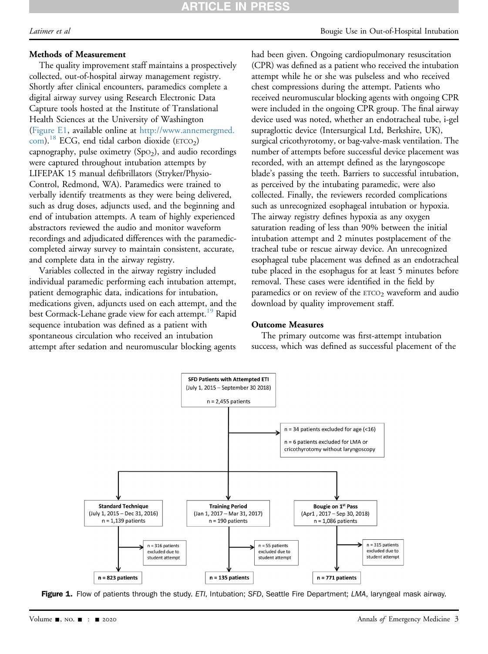# **RTICLE IN PRESS**

#### Methods of Measurement

The quality improvement staff maintains a prospectively collected, out-of-hospital airway management registry. Shortly after clinical encounters, paramedics complete a digital airway survey using Research Electronic Data Capture tools hosted at the Institute of Translational Health Sciences at the University of Washington (Figure E1, available online at [http://www.annemergmed.](http://www.annemergmed.com) [com](http://www.annemergmed.com)).<sup>18</sup> ECG, end tidal carbon dioxide ( $ETCO<sub>2</sub>$ ) capnography, pulse oximetry  $(Spo<sub>2</sub>)$ , and audio recordings were captured throughout intubation attempts by LIFEPAK 15 manual defibrillators (Stryker/Physio-Control, Redmond, WA). Paramedics were trained to verbally identify treatments as they were being delivered, such as drug doses, adjuncts used, and the beginning and end of intubation attempts. A team of highly experienced abstractors reviewed the audio and monitor waveform recordings and adjudicated differences with the paramediccompleted airway survey to maintain consistent, accurate, and complete data in the airway registry.

Variables collected in the airway registry included individual paramedic performing each intubation attempt, patient demographic data, indications for intubation, medications given, adjuncts used on each attempt, and the best Cormack-Lehane grade view for each attempt.<sup>[19](#page-8-5)</sup> Rapid sequence intubation was defined as a patient with spontaneous circulation who received an intubation attempt after sedation and neuromuscular blocking agents

Latimer et al **Bougie** Use in Out-of-Hospital Intubation

had been given. Ongoing cardiopulmonary resuscitation (CPR) was defined as a patient who received the intubation attempt while he or she was pulseless and who received chest compressions during the attempt. Patients who received neuromuscular blocking agents with ongoing CPR were included in the ongoing CPR group. The final airway device used was noted, whether an endotracheal tube, i-gel supraglottic device (Intersurgical Ltd, Berkshire, UK), surgical cricothyrotomy, or bag-valve-mask ventilation. The number of attempts before successful device placement was recorded, with an attempt defined as the laryngoscope blade's passing the teeth. Barriers to successful intubation, as perceived by the intubating paramedic, were also collected. Finally, the reviewers recorded complications such as unrecognized esophageal intubation or hypoxia. The airway registry defines hypoxia as any oxygen saturation reading of less than 90% between the initial intubation attempt and 2 minutes postplacement of the tracheal tube or rescue airway device. An unrecognized esophageal tube placement was defined as an endotracheal tube placed in the esophagus for at least 5 minutes before removal. These cases were identified in the field by paramedics or on review of the  $ETCO<sub>2</sub>$  waveform and audio download by quality improvement staff.

#### Outcome Measures

The primary outcome was first-attempt intubation success, which was defined as successful placement of the

<span id="page-2-0"></span>

Figure 1. Flow of patients through the study. ETI, Intubation; SFD, Seattle Fire Department; LMA, laryngeal mask airway.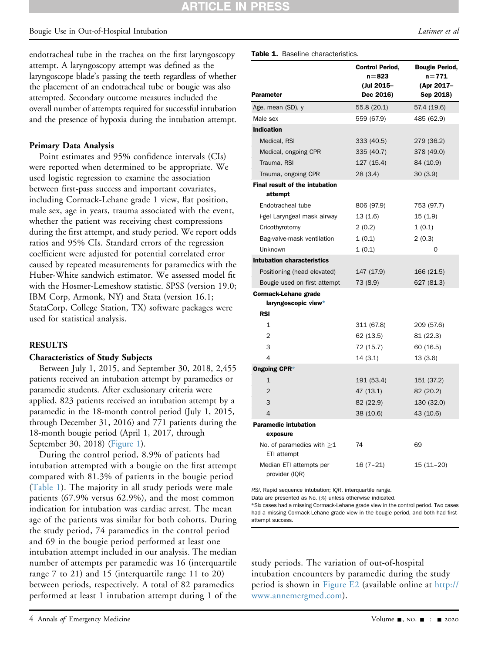## RTICLE IN

### Bougie Use in Out-of-Hospital Intubation and the set of the set of the set of the latitude of the Latimer et al

endotracheal tube in the trachea on the first laryngoscopy attempt. A laryngoscopy attempt was defined as the laryngoscope blade's passing the teeth regardless of whether the placement of an endotracheal tube or bougie was also attempted. Secondary outcome measures included the overall number of attempts required for successful intubation and the presence of hypoxia during the intubation attempt.

#### Primary Data Analysis

Point estimates and 95% confidence intervals (CIs) were reported when determined to be appropriate. We used logistic regression to examine the association between first-pass success and important covariates, including Cormack-Lehane grade 1 view, flat position, male sex, age in years, trauma associated with the event, whether the patient was receiving chest compressions during the first attempt, and study period. We report odds ratios and 95% CIs. Standard errors of the regression coefficient were adjusted for potential correlated error caused by repeated measurements for paramedics with the Huber-White sandwich estimator. We assessed model fit with the Hosmer-Lemeshow statistic. SPSS (version 19.0; IBM Corp, Armonk, NY) and Stata (version 16.1; StataCorp, College Station, TX) software packages were used for statistical analysis.

#### RESULTS

#### Characteristics of Study Subjects

Between July 1, 2015, and September 30, 2018, 2,455 patients received an intubation attempt by paramedics or paramedic students. After exclusionary criteria were applied, 823 patients received an intubation attempt by a paramedic in the 18-month control period (July 1, 2015, through December 31, 2016) and 771 patients during the 18-month bougie period (April 1, 2017, through September 30, 2018) ([Figure 1\)](#page-2-0).

During the control period, 8.9% of patients had intubation attempted with a bougie on the first attempt compared with 81.3% of patients in the bougie period ([Table 1\)](#page-3-0). The majority in all study periods were male patients (67.9% versus 62.9%), and the most common indication for intubation was cardiac arrest. The mean age of the patients was similar for both cohorts. During the study period, 74 paramedics in the control period and 69 in the bougie period performed at least one intubation attempt included in our analysis. The median number of attempts per paramedic was 16 (interquartile range 7 to 21) and 15 (interquartile range 11 to 20) between periods, respectively. A total of 82 paramedics performed at least 1 intubation attempt during 1 of the

4 Annals of Emergency Medicine Contract Contract Contract Contract Contract Contract Contract Contract Contract Contract Contract Oriental Annual System of the 2020

| Parameter                                      | <b>Control Period,</b><br>$n = 823$<br>(Jul 2015–<br>Dec 2016) | <b>Bougie Period,</b><br>n=771<br>(Apr 2017-<br>Sep 2018) |
|------------------------------------------------|----------------------------------------------------------------|-----------------------------------------------------------|
| Age, mean (SD), y                              | 55.8 (20.1)                                                    | 57.4 (19.6)                                               |
| Male sex                                       | 559 (67.9)                                                     | 485 (62.9)                                                |
| <b>Indication</b>                              |                                                                |                                                           |
| Medical, RSI                                   | 333 (40.5)                                                     | 279 (36.2)                                                |
| Medical, ongoing CPR                           | 335 (40.7)                                                     | 378 (49.0)                                                |
| Trauma, RSI                                    | 127 (15.4)                                                     | 84 (10.9)                                                 |
| Trauma, ongoing CPR                            | 28(3.4)                                                        | 30(3.9)                                                   |
| Final result of the intubation                 |                                                                |                                                           |
| attempt                                        |                                                                |                                                           |
| Endotracheal tube                              | 806 (97.9)                                                     | 753 (97.7)                                                |
| i-gel Laryngeal mask airway                    | 13(1.6)                                                        | 15(1.9)                                                   |
| Cricothyrotomy                                 | 2(0.2)                                                         | 1(0.1)                                                    |
| Bag-valve-mask ventilation                     | 1(0.1)                                                         | 2(0.3)                                                    |
| Unknown                                        | 1(0.1)                                                         | 0                                                         |
| Intubation characteristics                     |                                                                |                                                           |
| Positioning (head elevated)                    | 147 (17.9)                                                     | 166 (21.5)                                                |
| Bougie used on first attempt                   | 73 (8.9)                                                       | 627 (81.3)                                                |
| Cormack-Lehane grade                           |                                                                |                                                           |
| laryngoscopic view*                            |                                                                |                                                           |
| <b>RSI</b>                                     |                                                                |                                                           |
| 1                                              | 311 (67.8)                                                     | 209 (57.6)                                                |
| $\overline{2}$                                 | 62 (13.5)                                                      | 81 (22.3)                                                 |
| 3                                              | 72 (15.7)                                                      | 60 (16.5)                                                 |
| 4                                              | 14(3.1)                                                        | 13(3.6)                                                   |
| <b>Ongoing CPR*</b>                            |                                                                |                                                           |
| $\mathbf{1}$                                   | 191 (53.4)                                                     | 151 (37.2)                                                |
| $\overline{2}$                                 | 47 (13.1)                                                      | 82 (20.2)                                                 |
| 3                                              | 82 (22.9)                                                      | 130 (32.0)                                                |
| $\overline{4}$                                 | 38 (10.6)                                                      | 43 (10.6)                                                 |
| <b>Paramedic intubation</b><br>exposure        |                                                                |                                                           |
|                                                |                                                                |                                                           |
| No. of paramedics with $\geq$ 1<br>ETI attempt | 74                                                             | 69                                                        |
| Median ETI attempts per<br>provider (IQR)      | $16(7-21)$                                                     | $15(11-20)$                                               |

<span id="page-3-0"></span>RSI, Rapid sequence intubation; IQR, interquartile range.

Data are presented as No. (%) unless otherwise indicated.

<span id="page-3-1"></span>\*Six cases had a missing Cormack-Lehane grade view in the control period. Two cases had a missing Cormack-Lehane grade view in the bougie period, and both had firstattempt success.

study periods. The variation of out-of-hospital intubation encounters by paramedic during the study period is shown in Figure E2 (available online at [http://](http://www.annemergmed.com) [www.annemergmed.com](http://www.annemergmed.com)).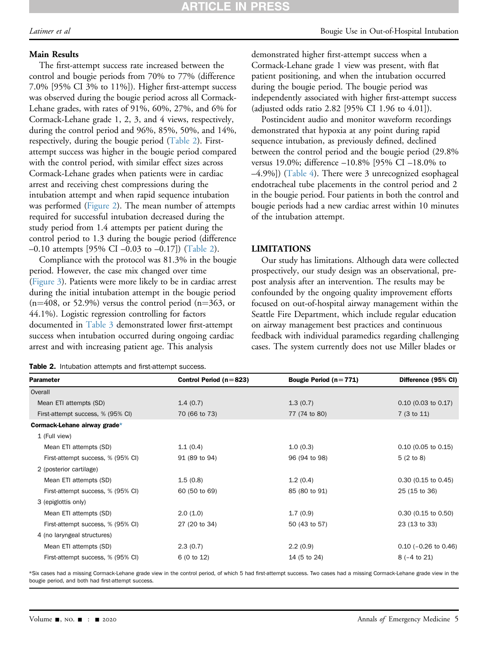### Main Results

The first-attempt success rate increased between the control and bougie periods from 70% to 77% (difference 7.0% [95% CI 3% to 11%]). Higher first-attempt success was observed during the bougie period across all Cormack-Lehane grades, with rates of 91%, 60%, 27%, and 6% for Cormack-Lehane grade 1, 2, 3, and 4 views, respectively, during the control period and 96%, 85%, 50%, and 14%, respectively, during the bougie period [\(Table 2](#page-4-0)). Firstattempt success was higher in the bougie period compared with the control period, with similar effect sizes across Cormack-Lehane grades when patients were in cardiac arrest and receiving chest compressions during the intubation attempt and when rapid sequence intubation was performed [\(Figure 2](#page-5-0)). The mean number of attempts required for successful intubation decreased during the study period from 1.4 attempts per patient during the control period to 1.3 during the bougie period (difference –0.10 attempts [95% CI –0.03 to –0.17]) ([Table 2\)](#page-4-0).

Compliance with the protocol was 81.3% in the bougie period. However, the case mix changed over time [\(Figure 3\)](#page-6-0). Patients were more likely to be in cardiac arrest during the initial intubation attempt in the bougie period  $(n=408, \text{ or } 52.9\%)$  versus the control period  $(n=363, \text{ or } 52.9\%)$ 44.1%). Logistic regression controlling for factors documented in [Table 3](#page-6-1) demonstrated lower first-attempt success when intubation occurred during ongoing cardiac arrest and with increasing patient age. This analysis

<span id="page-4-0"></span>

|  |  |  | Table 2. Intubation attempts and first-attempt success. |  |
|--|--|--|---------------------------------------------------------|--|
|--|--|--|---------------------------------------------------------|--|

demonstrated higher first-attempt success when a Cormack-Lehane grade 1 view was present, with flat patient positioning, and when the intubation occurred during the bougie period. The bougie period was independently associated with higher first-attempt success (adjusted odds ratio 2.82 [95% CI 1.96 to 4.01]).

Postincident audio and monitor waveform recordings demonstrated that hypoxia at any point during rapid sequence intubation, as previously defined, declined between the control period and the bougie period (29.8% versus 19.0%; difference –10.8% [95% CI –18.0% to –4.9%]) ([Table 4](#page-7-9)). There were 3 unrecognized esophageal endotracheal tube placements in the control period and 2 in the bougie period. Four patients in both the control and bougie periods had a new cardiac arrest within 10 minutes of the intubation attempt.

#### LIMITATIONS

Our study has limitations. Although data were collected prospectively, our study design was an observational, prepost analysis after an intervention. The results may be confounded by the ongoing quality improvement efforts focused on out-of-hospital airway management within the Seattle Fire Department, which include regular education on airway management best practices and continuous feedback with individual paramedics regarding challenging cases. The system currently does not use Miller blades or

| Parameter                         | Control Period ( $n = 823$ ) | Bougie Period $(n=771)$ | Difference (95% CI)    |
|-----------------------------------|------------------------------|-------------------------|------------------------|
| Overall                           |                              |                         |                        |
| Mean ETI attempts (SD)            | 1.4(0.7)                     | 1.3(0.7)                | $0.10$ (0.03 to 0.17)  |
| First-attempt success, % (95% CI) | 70 (66 to 73)                | 77 (74 to 80)           | 7 (3 to 11)            |
| Cormack-Lehane airway grade*      |                              |                         |                        |
| 1 (Full view)                     |                              |                         |                        |
| Mean ETI attempts (SD)            | 1.1(0.4)                     | 1.0(0.3)                | $0.10$ (0.05 to 0.15)  |
| First-attempt success, % (95% CI) | 91 (89 to 94)                | 96 (94 to 98)           | 5(2 to 8)              |
| 2 (posterior cartilage)           |                              |                         |                        |
| Mean ETI attempts (SD)            | 1.5(0.8)                     | 1.2(0.4)                | $0.30$ (0.15 to 0.45)  |
| First-attempt success, % (95% CI) | 60 (50 to 69)                | 85 (80 to 91)           | 25 (15 to 36)          |
| 3 (epiglottis only)               |                              |                         |                        |
| Mean ETI attempts (SD)            | 2.0(1.0)                     | 1.7(0.9)                | $0.30$ (0.15 to 0.50)  |
| First-attempt success, % (95% CI) | 27 (20 to 34)                | 50 (43 to 57)           | 23 (13 to 33)          |
| 4 (no laryngeal structures)       |                              |                         |                        |
| Mean ETI attempts (SD)            | 2.3(0.7)                     | 2.2(0.9)                | $0.10$ (-0.26 to 0.46) |
| First-attempt success, % (95% CI) | 6 (0 to 12)                  | 14 (5 to 24)            | $8(-4 \text{ to } 21)$ |
|                                   |                              |                         |                        |

<span id="page-4-1"></span>\*Six cases had a missing Cormack-Lehane grade view in the control period, of which 5 had first-attempt success. Two cases had a missing Cormack-Lehane grade view in the bougie period, and both had first-attempt success.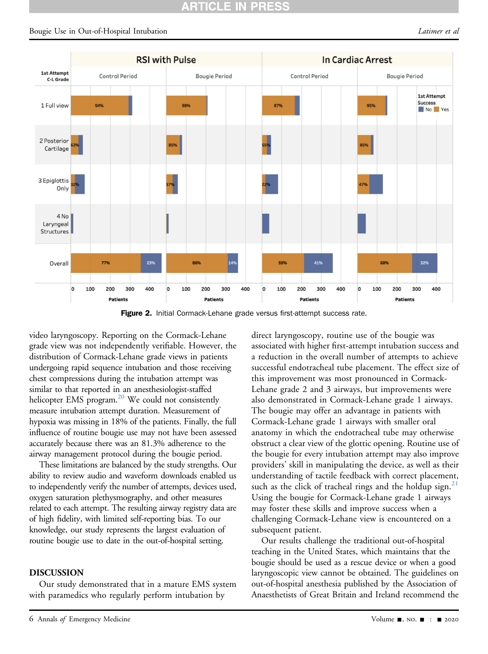<span id="page-5-0"></span>

Figure 2. Initial Cormack-Lehane grade versus first-attempt success rate.

video laryngoscopy. Reporting on the Cormack-Lehane grade view was not independently verifiable. However, the distribution of Cormack-Lehane grade views in patients undergoing rapid sequence intubation and those receiving chest compressions during the intubation attempt was similar to that reported in an anesthesiologist-staffed helicopter EMS program. $^{20}$  We could not consistently measure intubation attempt duration. Measurement of hypoxia was missing in 18% of the patients. Finally, the full influence of routine bougie use may not have been assessed accurately because there was an 81.3% adherence to the airway management protocol during the bougie period.

These limitations are balanced by the study strengths. Our ability to review audio and waveform downloads enabled us to independently verify the number of attempts, devices used, oxygen saturation plethysmography, and other measures related to each attempt. The resulting airway registry data are of high fidelity, with limited self-reporting bias. To our knowledge, our study represents the largest evaluation of routine bougie use to date in the out-of-hospital setting.

#### DISCUSSION

Our study demonstrated that in a mature EMS system with paramedics who regularly perform intubation by

direct laryngoscopy, routine use of the bougie was associated with higher first-attempt intubation success and a reduction in the overall number of attempts to achieve successful endotracheal tube placement. The effect size of this improvement was most pronounced in Cormack-Lehane grade 2 and 3 airways, but improvements were also demonstrated in Cormack-Lehane grade 1 airways. The bougie may offer an advantage in patients with Cormack-Lehane grade 1 airways with smaller oral anatomy in which the endotracheal tube may otherwise obstruct a clear view of the glottic opening. Routine use of the bougie for every intubation attempt may also improve providers' skill in manipulating the device, as well as their understanding of tactile feedback with correct placement, such as the click of tracheal rings and the holdup sign.<sup>[21](#page-8-7)</sup> Using the bougie for Cormack-Lehane grade 1 airways may foster these skills and improve success when a challenging Cormack-Lehane view is encountered on a subsequent patient.

Our results challenge the traditional out-of-hospital teaching in the United States, which maintains that the bougie should be used as a rescue device or when a good laryngoscopic view cannot be obtained. The guidelines on out-of-hospital anesthesia published by the Association of Anaesthetists of Great Britain and Ireland recommend the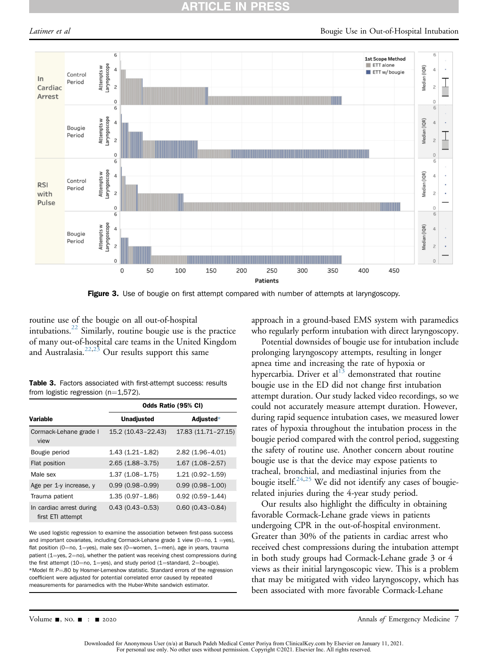#### ARTICLE IN **PRESS**

<span id="page-6-0"></span>

Figure 3. Use of bougie on first attempt compared with number of attempts at laryngoscopy.

routine use of the bougie on all out-of-hospital intubations. $^{22}$  Similarly, routine bougie use is the practice of many out-of-hospital care teams in the United Kingdom and Australasia. $22,23$  $22,23$  Our results support this same

Table 3. Factors associated with first-attempt success: results from logistic regression  $(n=1,572)$ .

|                                               | Odds Ratio (95% CI) |                     |  |
|-----------------------------------------------|---------------------|---------------------|--|
| <b>Variable</b>                               | <b>Unadjusted</b>   | Adjusted $*$        |  |
| Cormack-Lehane grade I<br>view                | 15.2 (10.43-22.43)  | 17.83 (11.71-27.15) |  |
| Bougie period                                 | $1.43(1.21 - 1.82)$ | $2.82(1.96 - 4.01)$ |  |
| Flat position                                 | $2.65(1.88 - 3.75)$ | $1.67(1.08-2.57)$   |  |
| Male sex                                      | $1.37(1.08 - 1.75)$ | $1.21(0.92 - 1.59)$ |  |
| Age per 1-y increase, y                       | $0.99(0.98 - 0.99)$ | $0.99(0.98 - 1.00)$ |  |
| Trauma patient                                | $1.35(0.97 - 1.86)$ | $0.92(0.59 - 1.44)$ |  |
| In cardiac arrest during<br>first ETI attempt | $0.43(0.43 - 0.53)$ | $0.60(0.43 - 0.84)$ |  |

<span id="page-6-2"></span><span id="page-6-1"></span>We used logistic regression to examine the association between first-pass success and important covariates, including Cormack-Lehane grade 1 view (0=no, 1 =yes), flat position (0=no, 1=yes), male sex (0=women, 1=men), age in years, trauma patient (1=yes, 2=no), whether the patient was receiving chest compressions during the first attempt (10=no, 1=yes), and study period (1=standard, 2=bougie). \*Model fit  $P = 80$  by Hosmer-Lemeshow statistic. Standard errors of the regression coefficient were adjusted for potential correlated error caused by repeated measurements for paramedics with the Huber-White sandwich estimator.

approach in a ground-based EMS system with paramedics who regularly perform intubation with direct laryngoscopy.

Potential downsides of bougie use for intubation include prolonging laryngoscopy attempts, resulting in longer apnea time and increasing the rate of hypoxia or hypercarbia. Driver et al $^{13}$  $^{13}$  $^{13}$  demonstrated that routine bougie use in the ED did not change first intubation attempt duration. Our study lacked video recordings, so we could not accurately measure attempt duration. However, during rapid sequence intubation cases, we measured lower rates of hypoxia throughout the intubation process in the bougie period compared with the control period, suggesting the safety of routine use. Another concern about routine bougie use is that the device may expose patients to tracheal, bronchial, and mediastinal injuries from the bougie itself. $24,25$  $24,25$  We did not identify any cases of bougierelated injuries during the 4-year study period.

Our results also highlight the difficulty in obtaining favorable Cormack-Lehane grade views in patients undergoing CPR in the out-of-hospital environment. Greater than 30% of the patients in cardiac arrest who received chest compressions during the intubation attempt in both study groups had Cormack-Lehane grade 3 or 4 views as their initial laryngoscopic view. This is a problem that may be mitigated with video laryngoscopy, which has been associated with more favorable Cormack-Lehane

Volume -, no. - : - 2020 Annals of Emergency Medicine 7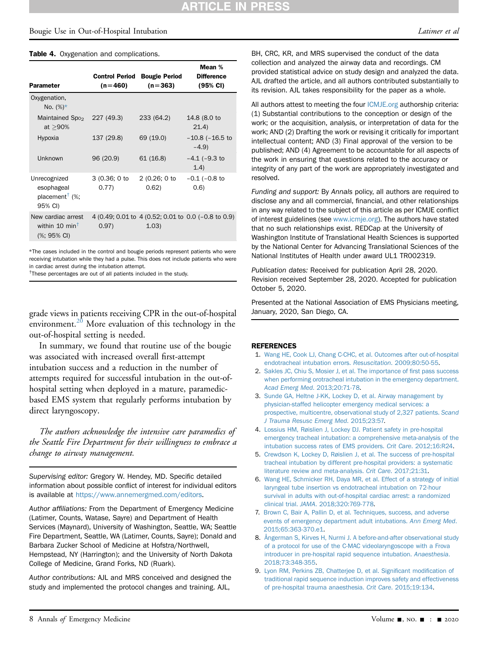#### Bougie Use in Out-of-Hospital Intubation and the set of the set of the set of the latimer et all the set of the set of the set of the set of the set of the set of the set of the set of the set of the set of the set of the

#### <span id="page-7-9"></span>Table 4. Oxygenation and complications.

| <b>Parameter</b>                                                                             | <b>Control Period</b><br>$(n=460)$ | <b>Bougie Period</b><br>$(n=363)$ | Mean %<br><b>Difference</b><br>(95% CI)             |
|----------------------------------------------------------------------------------------------|------------------------------------|-----------------------------------|-----------------------------------------------------|
| Oxygenation,<br>No. $(\%)^*$                                                                 |                                    |                                   |                                                     |
| Maintained Spo <sub>2</sub><br>at $>90\%$                                                    | 227 (49.3)                         | 233 (64.2)                        | 14.8 (8.0 to<br>21.4)                               |
| Hypoxia                                                                                      | 137 (29.8)                         | 69 (19.0)                         | $-10.8$ ( $-16.5$ to<br>$-4.9$                      |
| Unknown                                                                                      | 96 (20.9)                          | 61(16.8)                          | $-4.1$ ( $-9.3$ to<br>(1.4)                         |
| Unrecognized<br>esophageal<br>placement <sup><math>\dagger</math></sup> (%;<br>95% CI)       | 3(0.36; 0 to<br>0.77)              | 2 (0.26; 0 to<br>0.62)            | $-0.1$ ( $-0.8$ to<br>(0.6)                         |
| New cardiac arrest<br>within 10 min <sup><math>\dagger</math></sup><br>$(%; 95% \text{ Cl})$ | 0.97)                              | (1.03)                            | 4 (0.49; 0.01 to 4 (0.52; 0.01 to 0.0 (-0.8 to 0.9) |

<span id="page-7-10"></span>\*The cases included in the control and bougie periods represent patients who were receiving intubation while they had a pulse. This does not include patients who were in cardiac arrest during the intubation attempt.

<span id="page-7-11"></span><sup>†</sup>These percentages are out of all patients included in the study.

grade views in patients receiving CPR in the out-of-hospital environment.<sup>[20](#page-8-6)</sup> More evaluation of this technology in the out-of-hospital setting is needed.

In summary, we found that routine use of the bougie was associated with increased overall first-attempt intubation success and a reduction in the number of attempts required for successful intubation in the out-ofhospital setting when deployed in a mature, paramedicbased EMS system that regularly performs intubation by direct laryngoscopy.

The authors acknowledge the intensive care paramedics of the Seattle Fire Department for their willingness to embrace a change to airway management.

Supervising editor: Gregory W. Hendey, MD. Specific detailed information about possible conflict of interest for individual editors is available at <https://www.annemergmed.com/editors>.

Author affiliations: From the Department of Emergency Medicine (Latimer, Counts, Watase, Sayre) and Department of Health Services (Maynard), University of Washington, Seattle, WA; Seattle Fire Department, Seattle, WA (Latimer, Counts, Sayre); Donald and Barbara Zucker School of Medicine at Hofstra/Northwell, Hempstead, NY (Harrington); and the University of North Dakota College of Medicine, Grand Forks, ND (Ruark).

Author contributions: AJL and MRS conceived and designed the study and implemented the protocol changes and training. AJL,

BH, CRC, KR, and MRS supervised the conduct of the data collection and analyzed the airway data and recordings. CM provided statistical advice on study design and analyzed the data. AJL drafted the article, and all authors contributed substantially to its revision. AJL takes responsibility for the paper as a whole.

All authors attest to meeting the four [ICMJE.org](http://ICMJE.org) authorship criteria: (1) Substantial contributions to the conception or design of the work; or the acquisition, analysis, or interpretation of data for the work; AND (2) Drafting the work or revising it critically for important intellectual content; AND (3) Final approval of the version to be published; AND (4) Agreement to be accountable for all aspects of the work in ensuring that questions related to the accuracy or integrity of any part of the work are appropriately investigated and resolved.

Funding and support: By Annals policy, all authors are required to disclose any and all commercial, financial, and other relationships in any way related to the subject of this article as per ICMJE conflict of interest guidelines (see [www.icmje.org](http://www.icmje.org)). The authors have stated that no such relationships exist. REDCap at the University of Washington Institute of Translational Health Sciences is supported by the National Center for Advancing Translational Sciences of the National Institutes of Health under award UL1 TR002319.

Publication dates: Received for publication April 28, 2020. Revision received September 28, 2020. Accepted for publication October 5, 2020.

Presented at the National Association of EMS Physicians meeting, January, 2020, San Diego, CA.

#### <span id="page-7-0"></span>REFERENCES

- 1. [Wang HE, Cook LJ, Chang C-CHC, et al. Outcomes after out-of-hospital](http://refhub.elsevier.com/S0196-0644(20)31318-4/sref1) [endotracheal intubation errors.](http://refhub.elsevier.com/S0196-0644(20)31318-4/sref1) Resuscitation. 2009;80:50-55.
- <span id="page-7-1"></span>2. [Sakles JC, Chiu S, Mosier J, et al. The importance of](http://refhub.elsevier.com/S0196-0644(20)31318-4/sref2) first pass success [when performing orotracheal intubation in the emergency department.](http://refhub.elsevier.com/S0196-0644(20)31318-4/sref2) [Acad Emerg Med](http://refhub.elsevier.com/S0196-0644(20)31318-4/sref2). 2013;20:71-78.
- <span id="page-7-2"></span>3. [Sunde GA, Heltne J-KK, Lockey D, et al. Airway management by](http://refhub.elsevier.com/S0196-0644(20)31318-4/sref3) [physician-staffed helicopter emergency medical services: a](http://refhub.elsevier.com/S0196-0644(20)31318-4/sref3) [prospective, multicentre, observational study of 2,327 patients.](http://refhub.elsevier.com/S0196-0644(20)31318-4/sref3) Scand [J Trauma Resusc Emerg Med](http://refhub.elsevier.com/S0196-0644(20)31318-4/sref3). 2015;23:57.
- <span id="page-7-3"></span>4. [Lossius HM, Røislien J, Lockey DJ. Patient safety in pre-hospital](http://refhub.elsevier.com/S0196-0644(20)31318-4/sref4) [emergency tracheal intubation: a comprehensive meta-analysis of the](http://refhub.elsevier.com/S0196-0644(20)31318-4/sref4) [intubation success rates of EMS providers.](http://refhub.elsevier.com/S0196-0644(20)31318-4/sref4) Crit Care. 2012;16:R24.
- <span id="page-7-4"></span>5. [Crewdson K, Lockey D, Røislien J, et al. The success of pre-hospital](http://refhub.elsevier.com/S0196-0644(20)31318-4/sref5) [tracheal intubation by different pre-hospital providers: a systematic](http://refhub.elsevier.com/S0196-0644(20)31318-4/sref5) [literature review and meta-analysis.](http://refhub.elsevier.com/S0196-0644(20)31318-4/sref5) Crit Care. 2017;21:31.
- <span id="page-7-5"></span>6. [Wang HE, Schmicker RH, Daya MR, et al. Effect of a strategy of initial](http://refhub.elsevier.com/S0196-0644(20)31318-4/sref6) [laryngeal tube insertion vs endotracheal intubation on 72-hour](http://refhub.elsevier.com/S0196-0644(20)31318-4/sref6) [survival in adults with out-of-hospital cardiac arrest: a randomized](http://refhub.elsevier.com/S0196-0644(20)31318-4/sref6) clinical trial. JAMA[. 2018;320:769-778](http://refhub.elsevier.com/S0196-0644(20)31318-4/sref6).
- <span id="page-7-6"></span>7. [Brown C, Bair A, Pallin D, et al. Techniques, success, and adverse](http://refhub.elsevier.com/S0196-0644(20)31318-4/sref7) [events of emergency department adult intubations.](http://refhub.elsevier.com/S0196-0644(20)31318-4/sref7) Ann Emerg Med. [2015;65:363-370.e1.](http://refhub.elsevier.com/S0196-0644(20)31318-4/sref7)
- <span id="page-7-7"></span>8. [Ångerman S, Kirves H, Nurmi J. A before-and-after observational study](http://refhub.elsevier.com/S0196-0644(20)31318-4/sref8) [of a protocol for use of the C-MAC videolaryngoscope with a Frova](http://refhub.elsevier.com/S0196-0644(20)31318-4/sref8) [introducer in pre-hospital rapid sequence intubation.](http://refhub.elsevier.com/S0196-0644(20)31318-4/sref8) Anaesthesia. [2018;73:348-355](http://refhub.elsevier.com/S0196-0644(20)31318-4/sref8).
- <span id="page-7-8"></span>9. [Lyon RM, Perkins ZB, Chatterjee D, et al. Signi](http://refhub.elsevier.com/S0196-0644(20)31318-4/sref9)ficant modification of [traditional rapid sequence induction improves safety and effectiveness](http://refhub.elsevier.com/S0196-0644(20)31318-4/sref9) [of pre-hospital trauma anaesthesia.](http://refhub.elsevier.com/S0196-0644(20)31318-4/sref9) Crit Care. 2015;19:134.